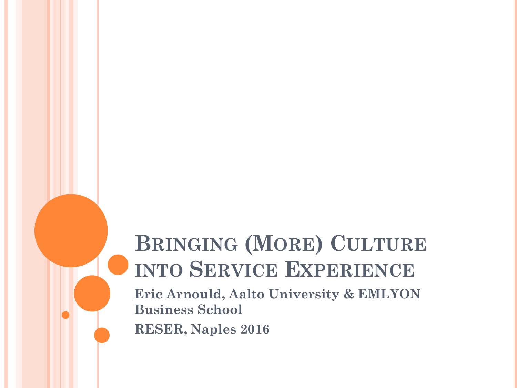## **BRINGING (MORE) CULTURE INTO SERVICE EXPERIENCE**

**Eric Arnould, Aalto University & EMLYON Business School RESER, Naples 2016**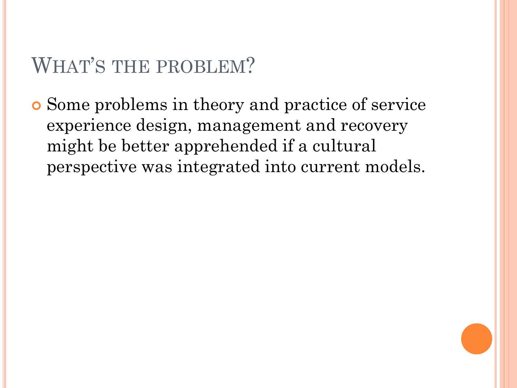### WHAT'S THE PROBLEM?

 Some problems in theory and practice of service experience design, management and recovery might be better apprehended if a cultural perspective was integrated into current models.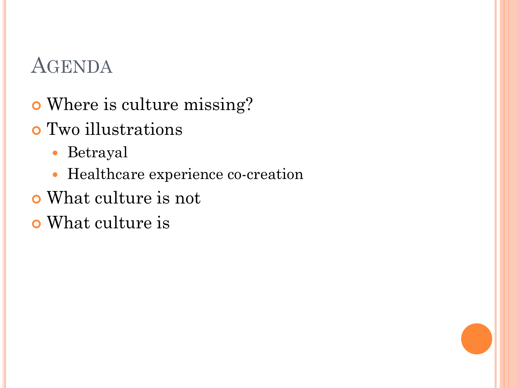### AGENDA

- Where is culture missing?
- Two illustrations
	- Betrayal
	- Healthcare experience co-creation
- What culture is not
- What culture is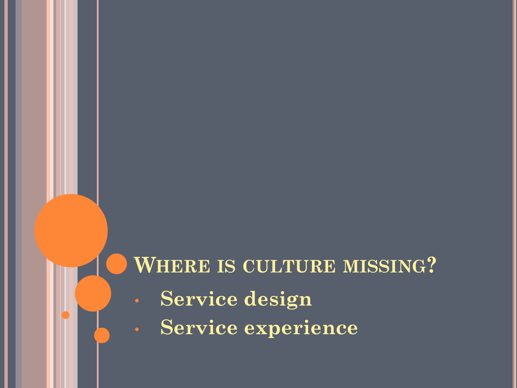**WHERE IS CULTURE MISSING?** • **Service design** • **Service experience**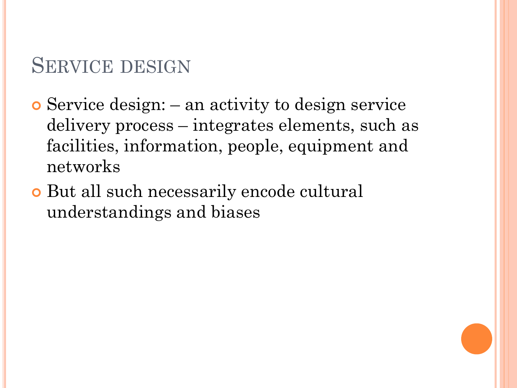### SERVICE DESIGN

- Service design: an activity to design service delivery process – integrates elements, such as facilities, information, people, equipment and networks
- But all such necessarily encode cultural understandings and biases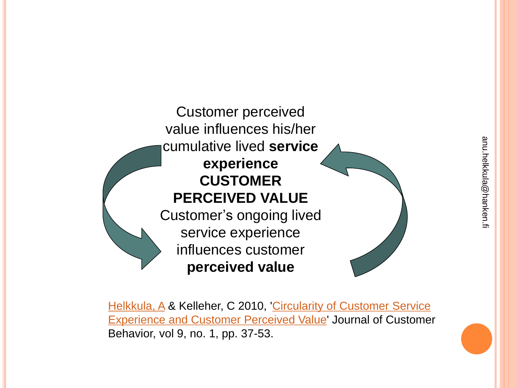Customer perceived value influences his/her cumulative lived **service experience CUSTOMER PERCEIVED VALUE** Customer's ongoing lived service experience influences customer **perceived value**

[Helkkula, A](http://hanken.halvi.helsinki.fi/portal/en/persons/anu-helkkula(3b6fef2b-de80-4064-8781-0f44a6759401).html) [& Kelleher, C 2010, 'Circularity of Customer Service](http://hanken.halvi.helsinki.fi/portal/en/publications/circularity-of-cust(c674d353-04e4-4c03-84c6-596c08ecc83c).html)  Experience and Customer Perceived Value' Journal of Customer Behavior, vol 9, no. 1, pp. 37-53.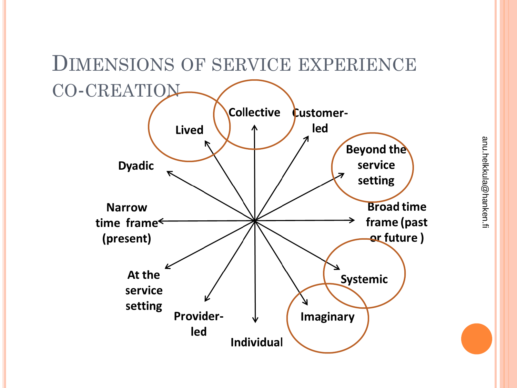### DIMENSIONS OF SERVICE EXPERIENCE

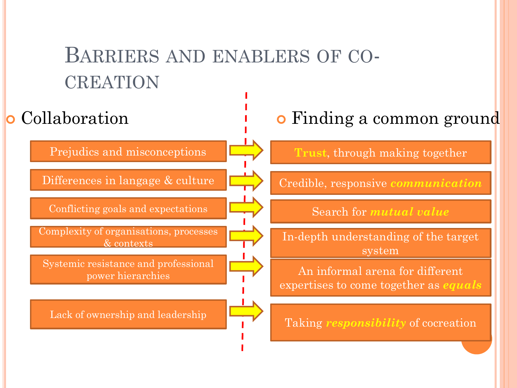### BARRIERS AND ENABLERS OF CO-**CREATION**

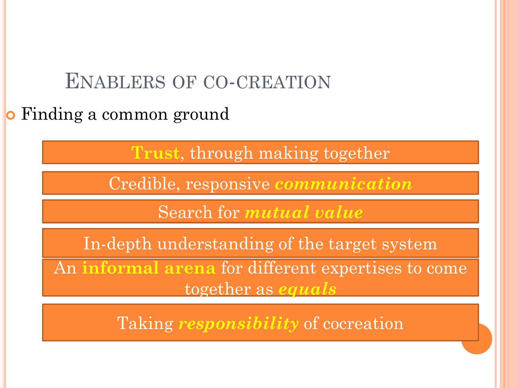### ENABLERS OF CO-CREATION

Finding a common ground

**Trust**, through making together

Credible, responsive *communication*

Search for *mutual value*

In-depth understanding of the target system

An **informal arena** for different expertises to come together as *equals* 

Taking *responsibility* of cocreation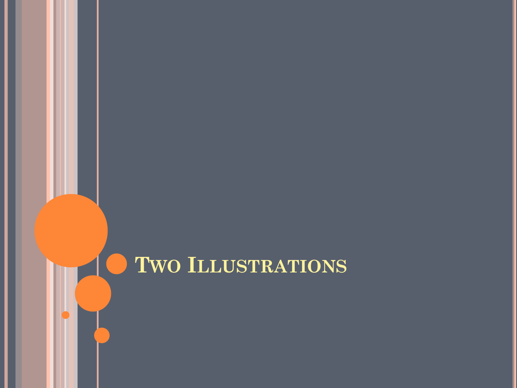#### TWO ILLUSTRATIONS  $\overline{\phantom{a}}$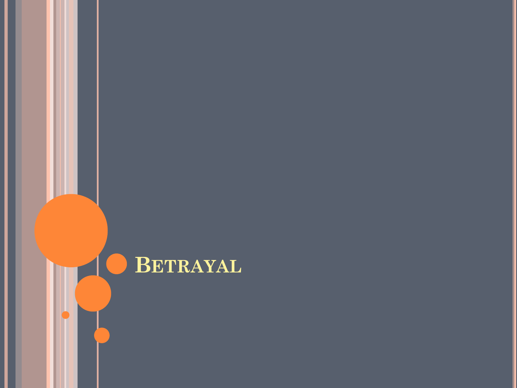# **BETRAYAL**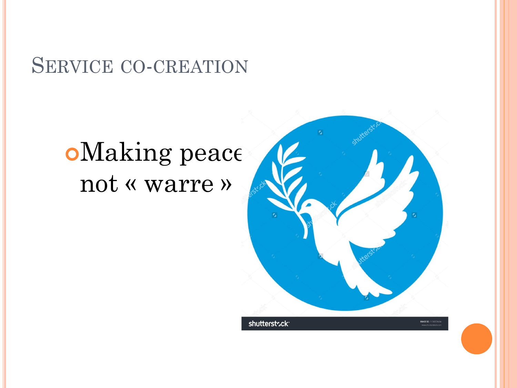### **SERVICE CO-CREATION**

# oMaking peace not « warre »

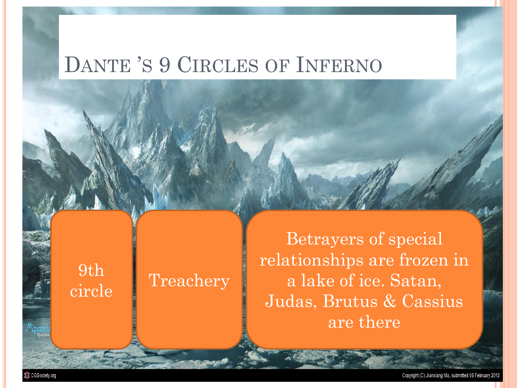### DANTE 'S 9 CIRCLES OF INFERNO

9th circle Treachery

Betrayers of special relationships are frozen in a lake of ice. Satan, Judas, Brutus & Cassius are there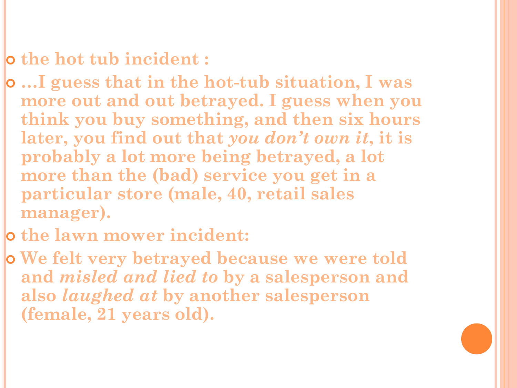### **the hot tub incident :**

- **…I guess that in the hot-tub situation, I was more out and out betrayed. I guess when you think you buy something, and then six hours later, you find out that** *you don't own it***, it is probably a lot more being betrayed, a lot more than the (bad) service you get in a particular store (male, 40, retail sales manager).**
- **the lawn mower incident:**
- **We felt very betrayed because we were told and** *misled and lied to* **by a salesperson and also** *laughed at* **by another salesperson (female, 21 years old).**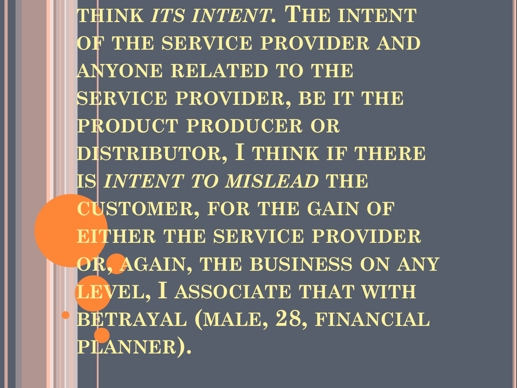**THINK** *ITS INTENT.* **THE INTENT OF THE SERVICE PROVIDER AND ANYONE RELATED TO THE SERVICE PROVIDER, BE IT THE PRODUCT PRODUCER OR DISTRIBUTOR, I THINK IF THERE IS** *INTENT TO MISLEAD* **THE CUSTOMER, FOR THE GAIN OF EITHER THE SERVICE PROVIDER OR, AGAIN, THE BUSINESS ON ANY LEVEL, I ASSOCIATE THAT WITH BETRAYAL (MALE, 28, FINANCIAL PLANNER).**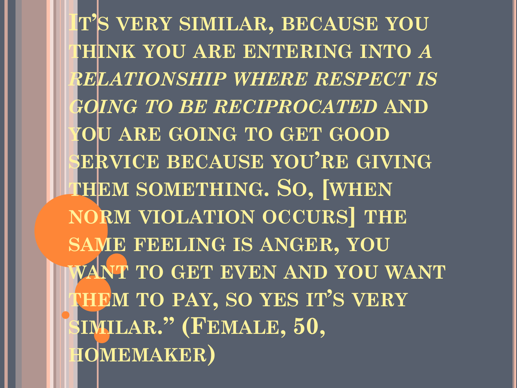**IT'S VERY SIMILAR, BECAUSE YOU THINK YOU ARE ENTERING INTO** *A RELATIONSHIP WHERE RESPECT IS GOING TO BE RECIPROCATED* **AND YOU ARE GOING TO GET GOOD SERVICE BECAUSE YOU'RE GIVING THEM SOMETHING. SO, [WHEN NORM VIOLATION OCCURS] THE SAME FEELING IS ANGER, YOU WANT TO GET EVEN AND YOU WANT THEM TO PAY, SO YES IT'S VERY SIMILAR." (FEMALE, 50, HOMEMAKER)**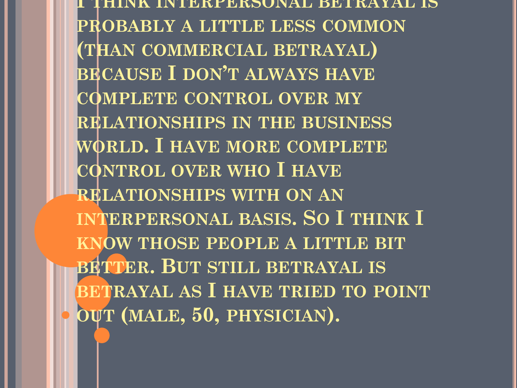**I THINK INTERPERSONAL BETRAYAL IS PROBABLY A LITTLE LESS COMMON (THAN COMMERCIAL BETRAYAL) BECAUSE I DON'T ALWAYS HAVE COMPLETE CONTROL OVER MY RELATIONSHIPS IN THE BUSINESS WORLD. I HAVE MORE COMPLETE CONTROL OVER WHO I HAVE RELATIONSHIPS WITH ON AN INTERPERSONAL BASIS. SO I THINK I KNOW THOSE PEOPLE A LITTLE BIT BETTER. BUT STILL BETRAYAL IS BETRAYAL AS I HAVE TRIED TO POINT OUT (MALE, 50, PHYSICIAN).**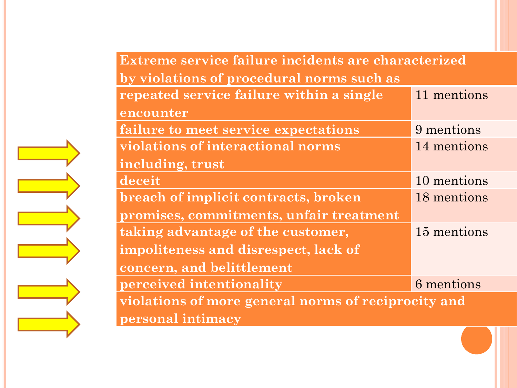| Extreme service failure incidents are characterized |             |
|-----------------------------------------------------|-------------|
| by violations of procedural norms such as           |             |
| repeated service failure within a single            | 11 mentions |
| encounter                                           |             |
| failure to meet service expectations                | 9 mentions  |
| violations of interactional norms                   | 14 mentions |
| including, trust                                    |             |
| deceit                                              | 10 mentions |
| breach of implicit contracts, broken                | 18 mentions |
| promises, commitments, unfair treatment             |             |
| taking advantage of the customer,                   | 15 mentions |
| impoliteness and disrespect, lack of                |             |
| concern, and belittlement                           |             |
| perceived intentionality                            | 6 mentions  |
| violations of more general norms of reciprocity and |             |
| personal intimacy                                   |             |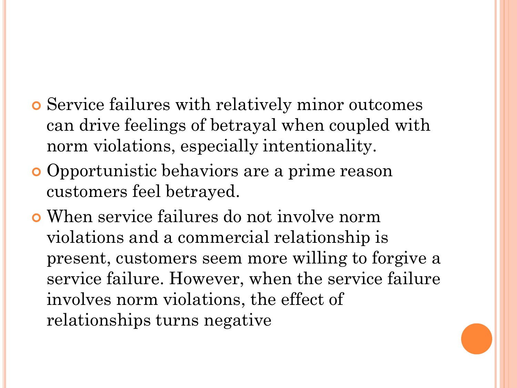- Service failures with relatively minor outcomes can drive feelings of betrayal when coupled with norm violations, especially intentionality.
- Opportunistic behaviors are a prime reason customers feel betrayed.
- When service failures do not involve norm violations and a commercial relationship is present, customers seem more willing to forgive a service failure. However, when the service failure involves norm violations, the effect of relationships turns negative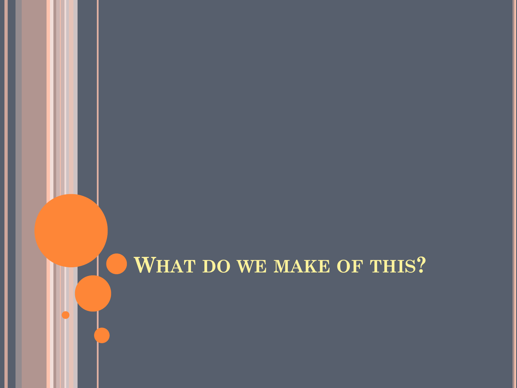### **WHAT DO WE MAKE OF THIS?**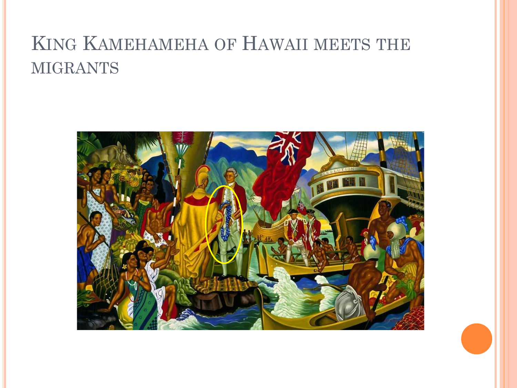### KING KAMEHAMEHA OF HAWAII MEETS THE MIGRANTS

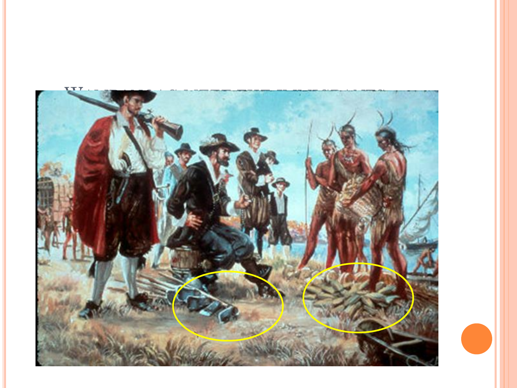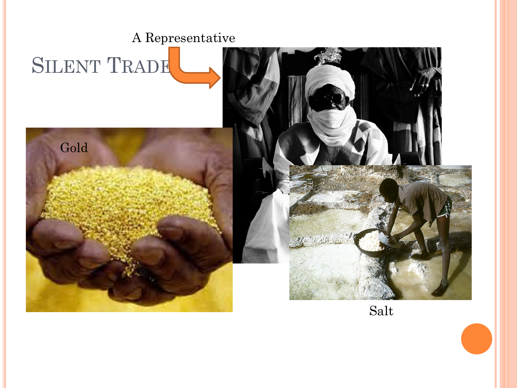

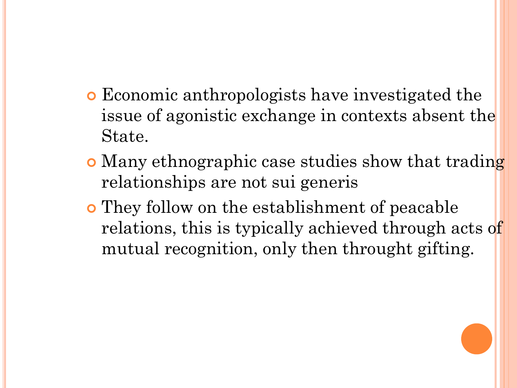- Economic anthropologists have investigated the issue of agonistic exchange in contexts absent the State.
- Many ethnographic case studies show that trading relationships are not sui generis
- They follow on the establishment of peacable relations, this is typically achieved through acts of mutual recognition, only then throught gifting.